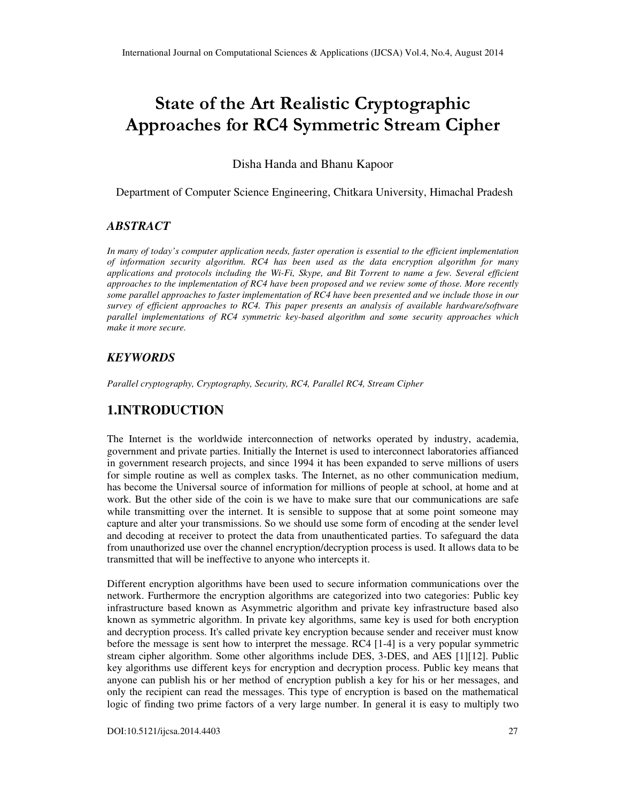# State of the Art Realistic Cryptographic Approaches for RC4 Symmetric Stream Cipher

Disha Handa and Bhanu Kapoor

Department of Computer Science Engineering, Chitkara University, Himachal Pradesh

### *ABSTRACT*

*In many of today's computer application needs, faster operation is essential to the efficient implementation of information security algorithm. RC4 has been used as the data encryption algorithm for many applications and protocols including the Wi-Fi, Skype, and Bit Torrent to name a few. Several efficient approaches to the implementation of RC4 have been proposed and we review some of those. More recently some parallel approaches to faster implementation of RC4 have been presented and we include those in our survey of efficient approaches to RC4. This paper presents an analysis of available hardware/software parallel implementations of RC4 symmetric key-based algorithm and some security approaches which make it more secure.* 

### *KEYWORDS*

*Parallel cryptography, Cryptography, Security, RC4, Parallel RC4, Stream Cipher* 

# **1.INTRODUCTION**

The Internet is the worldwide interconnection of networks operated by industry, academia, government and private parties. Initially the Internet is used to interconnect laboratories affianced in government research projects, and since 1994 it has been expanded to serve millions of users for simple routine as well as complex tasks. The Internet, as no other communication medium, has become the Universal source of information for millions of people at school, at home and at work. But the other side of the coin is we have to make sure that our communications are safe while transmitting over the internet. It is sensible to suppose that at some point someone may capture and alter your transmissions. So we should use some form of encoding at the sender level and decoding at receiver to protect the data from unauthenticated parties. To safeguard the data from unauthorized use over the channel encryption/decryption process is used. It allows data to be transmitted that will be ineffective to anyone who intercepts it.

Different encryption algorithms have been used to secure information communications over the network. Furthermore the encryption algorithms are categorized into two categories: Public key infrastructure based known as Asymmetric algorithm and private key infrastructure based also known as symmetric algorithm. In private key algorithms, same key is used for both encryption and decryption process. It's called private key encryption because sender and receiver must know before the message is sent how to interpret the message. RC4 [1-4] is a very popular symmetric stream cipher algorithm. Some other algorithms include DES, 3-DES, and AES [1][12]. Public key algorithms use different keys for encryption and decryption process. Public key means that anyone can publish his or her method of encryption publish a key for his or her messages, and only the recipient can read the messages. This type of encryption is based on the mathematical logic of finding two prime factors of a very large number. In general it is easy to multiply two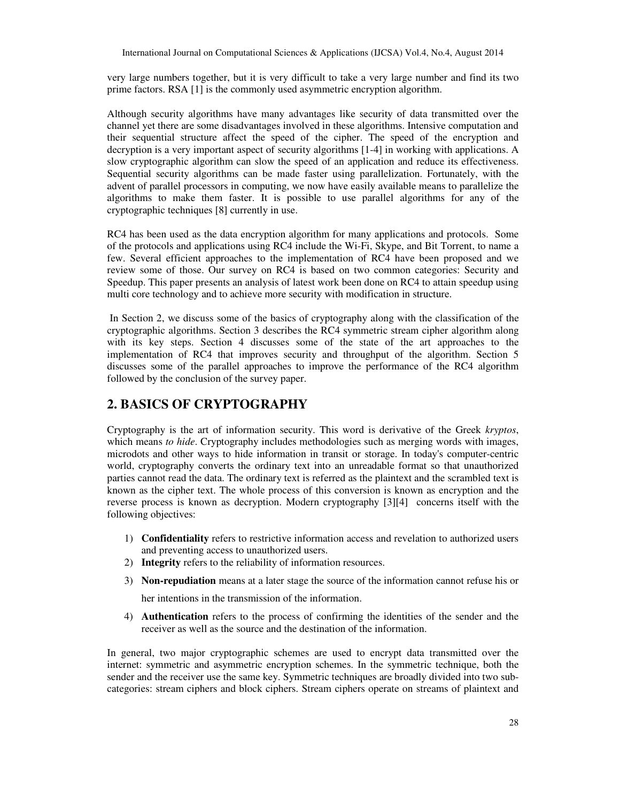very large numbers together, but it is very difficult to take a very large number and find its two prime factors. RSA [1] is the commonly used asymmetric encryption algorithm.

Although security algorithms have many advantages like security of data transmitted over the channel yet there are some disadvantages involved in these algorithms. Intensive computation and their sequential structure affect the speed of the cipher. The speed of the encryption and decryption is a very important aspect of security algorithms [1-4] in working with applications. A slow cryptographic algorithm can slow the speed of an application and reduce its effectiveness. Sequential security algorithms can be made faster using parallelization. Fortunately, with the advent of parallel processors in computing, we now have easily available means to parallelize the algorithms to make them faster. It is possible to use parallel algorithms for any of the cryptographic techniques [8] currently in use.

RC4 has been used as the data encryption algorithm for many applications and protocols. Some of the protocols and applications using RC4 include the Wi-Fi, Skype, and Bit Torrent, to name a few. Several efficient approaches to the implementation of RC4 have been proposed and we review some of those. Our survey on RC4 is based on two common categories: Security and Speedup. This paper presents an analysis of latest work been done on RC4 to attain speedup using multi core technology and to achieve more security with modification in structure.

 In Section 2, we discuss some of the basics of cryptography along with the classification of the cryptographic algorithms. Section 3 describes the RC4 symmetric stream cipher algorithm along with its key steps. Section 4 discusses some of the state of the art approaches to the implementation of RC4 that improves security and throughput of the algorithm. Section 5 discusses some of the parallel approaches to improve the performance of the RC4 algorithm followed by the conclusion of the survey paper.

### **2. BASICS OF CRYPTOGRAPHY**

Cryptography is the art of information security. This word is derivative of the Greek *kryptos*, which means *to hide*. Cryptography includes methodologies such as merging words with images, microdots and other ways to hide information in transit or storage. In today's computer-centric world, cryptography converts the ordinary text into an unreadable format so that unauthorized parties cannot read the data. The ordinary text is referred as the plaintext and the scrambled text is known as the cipher text. The whole process of this conversion is known as encryption and the reverse process is known as decryption. Modern cryptography [3][4] concerns itself with the following objectives:

- 1) **Confidentiality** refers to restrictive information access and revelation to authorized users and preventing access to unauthorized users.
- 2) **Integrity** refers to the reliability of information resources.
- 3) **Non-repudiation** means at a later stage the source of the information cannot refuse his or

her intentions in the transmission of the information.

4) **Authentication** refers to the process of confirming the identities of the sender and the receiver as well as the source and the destination of the information.

In general, two major cryptographic schemes are used to encrypt data transmitted over the internet: symmetric and asymmetric encryption schemes. In the symmetric technique, both the sender and the receiver use the same key. Symmetric techniques are broadly divided into two subcategories: stream ciphers and block ciphers. Stream ciphers operate on streams of plaintext and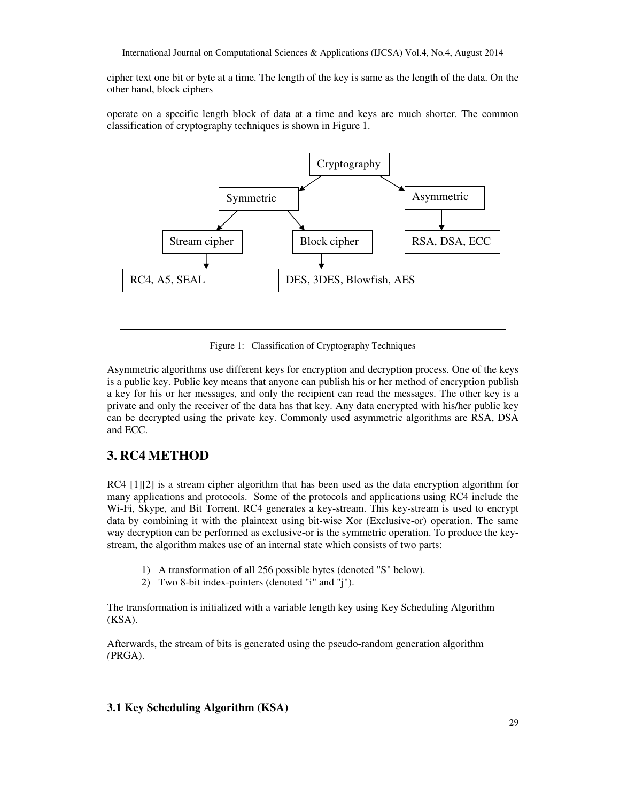cipher text one bit or byte at a time. The length of the key is same as the length of the data. On the other hand, block ciphers

operate on a specific length block of data at a time and keys are much shorter. The common classification of cryptography techniques is shown in Figure 1.



Figure 1: Classification of Cryptography Techniques

Asymmetric algorithms use different keys for encryption and decryption process. One of the keys is a public key. Public key means that anyone can publish his or her method of encryption publish a key for his or her messages, and only the recipient can read the messages. The other key is a private and only the receiver of the data has that key. Any data encrypted with his/her public key can be decrypted using the private key. Commonly used asymmetric algorithms are RSA, DSA and ECC.

# **3. RC4 METHOD**

RC4 [1][2] is a stream cipher algorithm that has been used as the data encryption algorithm for many applications and protocols. Some of the protocols and applications using RC4 include the Wi-Fi, Skype, and Bit Torrent. RC4 generates a key-stream. This key-stream is used to encrypt data by combining it with the plaintext using bit-wise Xor (Exclusive-or) operation. The same way decryption can be performed as exclusive-or is the symmetric operation. To produce the keystream, the algorithm makes use of an internal state which consists of two parts:

- 1) A transformation of all 256 possible bytes (denoted "S" below).
- 2) Two 8-bit index-pointers (denoted "i" and "j").

The transformation is initialized with a variable length key using Key Scheduling Algorithm (KSA).

Afterwards, the stream of bits is generated using the pseudo-random generation algorithm *(*PRGA).

### **3.1 Key Scheduling Algorithm (KSA)**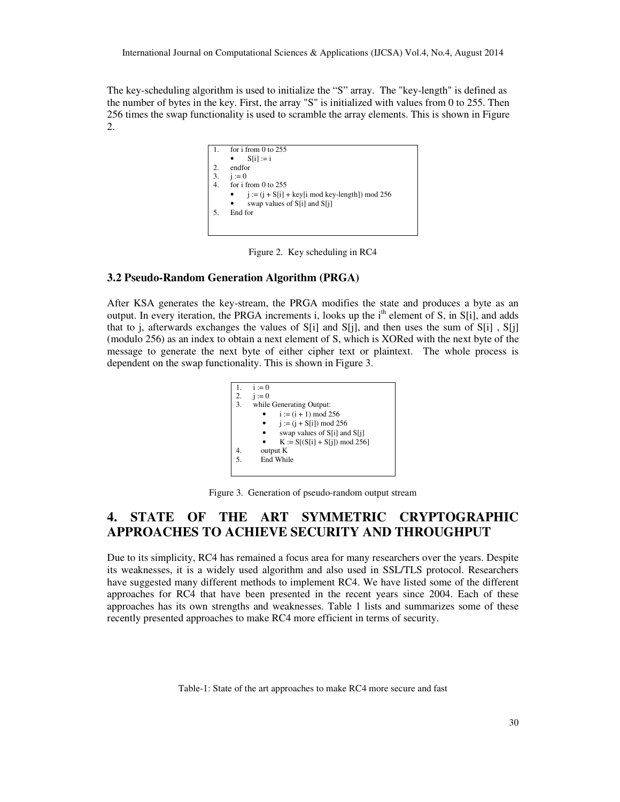The key-scheduling algorithm is used to initialize the "S" array. The "key-length" is defined as the number of bytes in the key. First, the array "S" is initialized with values from 0 to 255. Then 256 times the swap functionality is used to scramble the array elements. This is shown in Figure 2.



Figure 2. Key scheduling in RC4

#### **3.2 Pseudo-Random Generation Algorithm (PRGA)**

After KSA generates the key-stream, the PRGA modifies the state and produces a byte as an output. In every iteration, the PRGA increments i, looks up the i<sup>th</sup> element of S, in S[i], and adds that to j, afterwards exchanges the values of  $S[i]$  and  $S[i]$ , and then uses the sum of  $S[i]$ ,  $S[i]$ (modulo 256) as an index to obtain a next element of S, which is XORed with the next byte of the message to generate the next byte of either cipher text or plaintext. The whole process is dependent on the swap functionality. This is shown in Figure 3.

|    | $i := 0$                         |
|----|----------------------------------|
|    | 2. $i := 0$                      |
| 3. | while Generating Output:         |
|    | $i := (i + 1) \mod 256$          |
|    | $i := (i + S[i]) \mod 256$       |
|    | swap values of S[i] and S[i]     |
|    | $K := S[(S[i] + S[i]) \mod 256]$ |
|    | output K                         |
| 5. | End While                        |
|    |                                  |

Figure 3. Generation of pseudo-random output stream

# **4. STATE OF THE ART SYMMETRIC CRYPTOGRAPHIC APPROACHES TO ACHIEVE SECURITY AND THROUGHPUT**

Due to its simplicity, RC4 has remained a focus area for many researchers over the years. Despite its weaknesses, it is a widely used algorithm and also used in SSL/TLS protocol. Researchers have suggested many different methods to implement RC4. We have listed some of the different approaches for RC4 that have been presented in the recent years since 2004. Each of these approaches has its own strengths and weaknesses. Table 1 lists and summarizes some of these recently presented approaches to make RC4 more efficient in terms of security.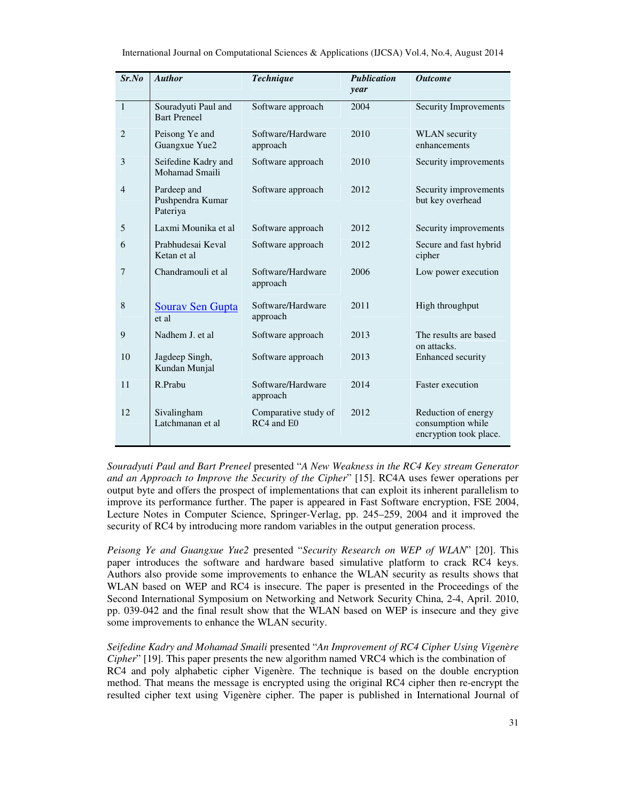| Sr.No          | <b>Author</b>                               | <b>Technique</b>                   | <b>Publication</b><br>year | <b>Outcome</b>                                                     |
|----------------|---------------------------------------------|------------------------------------|----------------------------|--------------------------------------------------------------------|
| $\mathbf{1}$   | Souradyuti Paul and<br><b>Bart Preneel</b>  | Software approach                  | 2004                       | <b>Security Improvements</b>                                       |
| $\overline{2}$ | Peisong Ye and<br>Guangxue Yue2             | Software/Hardware<br>approach      | 2010                       | <b>WLAN</b> security<br>enhancements                               |
| 3              | Seifedine Kadry and<br>Mohamad Smaili       | Software approach                  | 2010                       | Security improvements                                              |
| $\overline{4}$ | Pardeep and<br>Pushpendra Kumar<br>Pateriya | Software approach                  | 2012                       | Security improvements<br>but key overhead                          |
| 5              | Laxmi Mounika et al                         | Software approach                  | 2012                       | Security improvements                                              |
| 6              | Prabhudesai Keval<br>Ketan et al            | Software approach                  | 2012                       | Secure and fast hybrid<br>cipher                                   |
| 7              | Chandramouli et al                          | Software/Hardware<br>approach      | 2006                       | Low power execution                                                |
| 8              | <b>Sourav Sen Gupta</b><br>et al            | Software/Hardware<br>approach      | 2011                       | High throughput                                                    |
| 9              | Nadhem J. et al.                            | Software approach                  | 2013                       | The results are based<br>on attacks.                               |
| 10             | Jagdeep Singh,<br>Kundan Munjal             | Software approach                  | 2013                       | <b>Enhanced</b> security                                           |
| 11             | R.Prabu                                     | Software/Hardware<br>approach      | 2014                       | <b>Faster</b> execution                                            |
| 12             | Sivalingham<br>Latchmanan et al             | Comparative study of<br>RC4 and E0 | 2012                       | Reduction of energy<br>consumption while<br>encryption took place. |

*Souradyuti Paul and Bart Preneel* presented "*A New Weakness in the RC4 Key stream Generator and an Approach to Improve the Security of the Cipher*" [15]. RC4A uses fewer operations per output byte and offers the prospect of implementations that can exploit its inherent parallelism to improve its performance further. The paper is appeared in Fast Software encryption, FSE 2004, Lecture Notes in Computer Science, Springer-Verlag, pp. 245–259, 2004 and it improved the security of RC4 by introducing more random variables in the output generation process.

*Peisong Ye and Guangxue Yue2* presented "*Security Research on WEP of WLAN*" [20]. This paper introduces the software and hardware based simulative platform to crack RC4 keys. Authors also provide some improvements to enhance the WLAN security as results shows that WLAN based on WEP and RC4 is insecure. The paper is presented in the Proceedings of the Second International Symposium on Networking and Network Security China, 2-4, April. 2010, pp. 039-042 and the final result show that the WLAN based on WEP is insecure and they give some improvements to enhance the WLAN security.

*Seifedine Kadry and Mohamad Smaili* presented "*An Improvement of RC4 Cipher Using Vigenère Cipher*" [19]. This paper presents the new algorithm named VRC4 which is the combination of RC4 and poly alphabetic cipher Vigenère. The technique is based on the double encryption method. That means the message is encrypted using the original RC4 cipher then re-encrypt the resulted cipher text using Vigenère cipher. The paper is published in International Journal of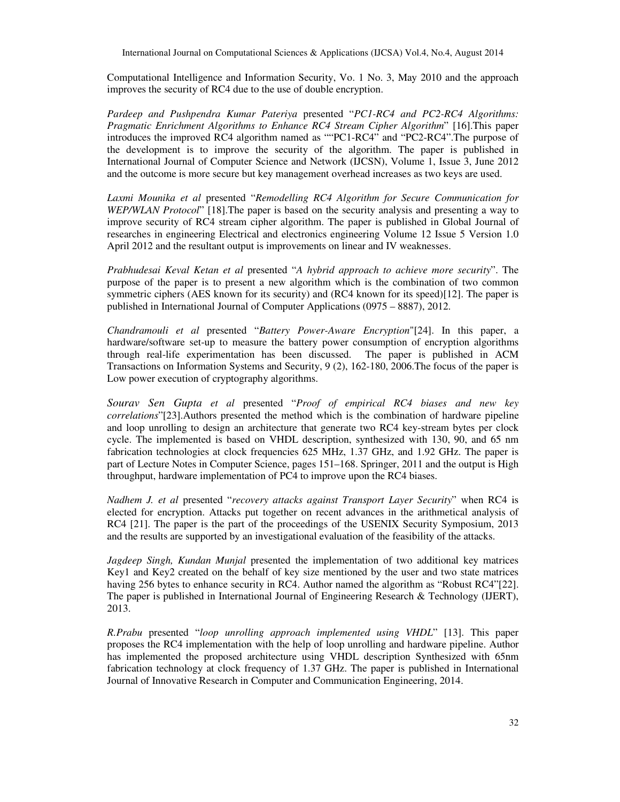Computational Intelligence and Information Security, Vo. 1 No. 3, May 2010 and the approach improves the security of RC4 due to the use of double encryption.

*Pardeep and Pushpendra Kumar Pateriya* presented "*PC1-RC4 and PC2-RC4 Algorithms: Pragmatic Enrichment Algorithms to Enhance RC4 Stream Cipher Algorithm*" [16].This paper introduces the improved RC4 algorithm named as ""PC1-RC4" and "PC2-RC4".The purpose of the development is to improve the security of the algorithm. The paper is published in International Journal of Computer Science and Network (IJCSN), Volume 1, Issue 3, June 2012 and the outcome is more secure but key management overhead increases as two keys are used.

*Laxmi Mounika et al* presented "*Remodelling RC4 Algorithm for Secure Communication for WEP/WLAN Protocol*" [18].The paper is based on the security analysis and presenting a way to improve security of RC4 stream cipher algorithm. The paper is published in Global Journal of researches in engineering Electrical and electronics engineering Volume 12 Issue 5 Version 1.0 April 2012 and the resultant output is improvements on linear and IV weaknesses.

*Prabhudesai Keval Ketan et al* presented "*A hybrid approach to achieve more security*". The purpose of the paper is to present a new algorithm which is the combination of two common symmetric ciphers (AES known for its security) and (RC4 known for its speed)[12]. The paper is published in International Journal of Computer Applications (0975 – 8887), 2012.

*Chandramouli et al* presented "*Battery Power-Aware Encryption*"[24]. In this paper, a hardware/software set-up to measure the battery power consumption of encryption algorithms through real-life experimentation has been discussed. The paper is published in ACM Transactions on Information Systems and Security, 9 (2), 162-180, 2006.The focus of the paper is Low power execution of cryptography algorithms.

*Sourav Sen Gupta et al* presented "*Proof of empirical RC4 biases and new key correlations*"[23].Authors presented the method which is the combination of hardware pipeline and loop unrolling to design an architecture that generate two RC4 key-stream bytes per clock cycle. The implemented is based on VHDL description, synthesized with 130, 90, and 65 nm fabrication technologies at clock frequencies 625 MHz, 1.37 GHz, and 1.92 GHz. The paper is part of Lecture Notes in Computer Science, pages 151–168. Springer, 2011 and the output is High throughput, hardware implementation of PC4 to improve upon the RC4 biases.

*Nadhem J. et al* presented "*recovery attacks against Transport Layer Security*" when RC4 is elected for encryption. Attacks put together on recent advances in the arithmetical analysis of RC4 [21]. The paper is the part of the proceedings of the USENIX Security Symposium, 2013 and the results are supported by an investigational evaluation of the feasibility of the attacks.

*Jagdeep Singh, Kundan Munjal* presented the implementation of two additional key matrices Key1 and Key2 created on the behalf of key size mentioned by the user and two state matrices having 256 bytes to enhance security in RC4. Author named the algorithm as "Robust RC4"[22]. The paper is published in International Journal of Engineering Research & Technology (IJERT), 2013.

*R.Prabu* presented "*loop unrolling approach implemented using VHDL*" [13]. This paper proposes the RC4 implementation with the help of loop unrolling and hardware pipeline. Author has implemented the proposed architecture using VHDL description Synthesized with 65nm fabrication technology at clock frequency of 1.37 GHz. The paper is published in International Journal of Innovative Research in Computer and Communication Engineering, 2014.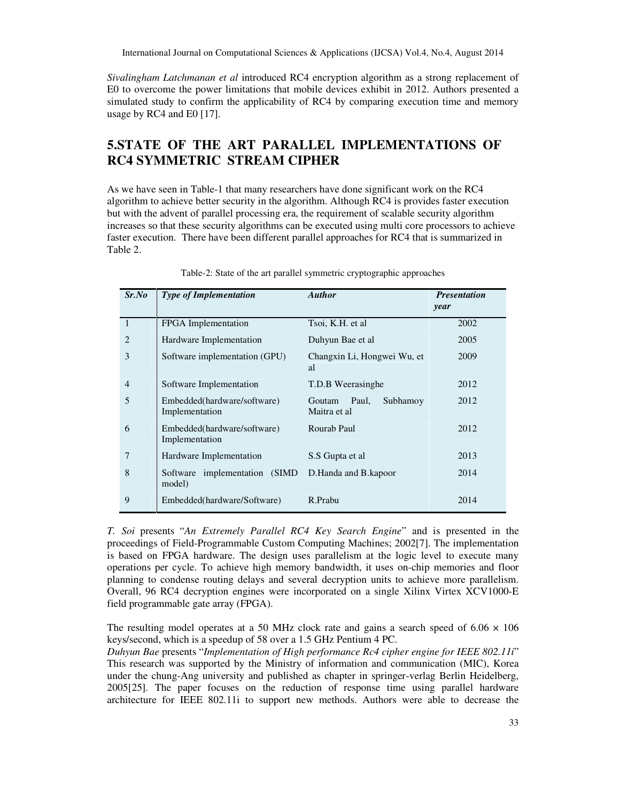*Sivalingham Latchmanan et al* introduced RC4 encryption algorithm as a strong replacement of E0 to overcome the power limitations that mobile devices exhibit in 2012. Authors presented a simulated study to confirm the applicability of RC4 by comparing execution time and memory usage by RC4 and E0 [17].

# **5.STATE OF THE ART PARALLEL IMPLEMENTATIONS OF RC4 SYMMETRIC STREAM CIPHER**

As we have seen in Table-1 that many researchers have done significant work on the RC4 algorithm to achieve better security in the algorithm. Although RC4 is provides faster execution but with the advent of parallel processing era, the requirement of scalable security algorithm increases so that these security algorithms can be executed using multi core processors to achieve faster execution. There have been different parallel approaches for RC4 that is summarized in Table 2.

| Sr.No          | <b>Type of Implementation</b>                 | <b>Author</b>                               | <b>Presentation</b><br>year |
|----------------|-----------------------------------------------|---------------------------------------------|-----------------------------|
| $\overline{1}$ | FPGA Implementation                           | Tsoi, K.H. et al.                           | 2002                        |
| 2              | Hardware Implementation                       | Duhyun Bae et al                            | 2005                        |
| 3              | Software implementation (GPU)                 | Changxin Li, Hongwei Wu, et<br>al           | 2009                        |
| $\overline{4}$ | Software Implementation                       | T.D.B Weerasinghe                           | 2012                        |
| 5              | Embedded(hardware/software)<br>Implementation | Paul,<br>Subhamoy<br>Goutam<br>Maitra et al | 2012                        |
| 6              | Embedded(hardware/software)<br>Implementation | Rourab Paul                                 | 2012                        |
| 7              | Hardware Implementation                       | S.S Gupta et al                             | 2013                        |
| 8              | Software implementation (SIMD)<br>model)      | D.Handa and B.kapoor                        | 2014                        |
| 9              | Embedded(hardware/Software)                   | R.Prabu                                     | 2014                        |

Table-2: State of the art parallel symmetric cryptographic approaches

*T. Soi* presents "*An Extremely Parallel RC4 Key Search Engine*" and is presented in the proceedings of Field-Programmable Custom Computing Machines; 2002[7]. The implementation is based on FPGA hardware. The design uses parallelism at the logic level to execute many operations per cycle. To achieve high memory bandwidth, it uses on-chip memories and floor planning to condense routing delays and several decryption units to achieve more parallelism. Overall, 96 RC4 decryption engines were incorporated on a single Xilinx Virtex XCV1000-E field programmable gate array (FPGA).

The resulting model operates at a 50 MHz clock rate and gains a search speed of 6.06  $\times$  106 keys/second, which is a speedup of 58 over a 1.5 GHz Pentium 4 PC.

*Duhyun Bae* presents "*Implementation of High performance Rc4 cipher engine for IEEE 802.11i*" This research was supported by the Ministry of information and communication (MIC), Korea under the chung-Ang university and published as chapter in springer-verlag Berlin Heidelberg, 2005[25]. The paper focuses on the reduction of response time using parallel hardware architecture for IEEE 802.11i to support new methods. Authors were able to decrease the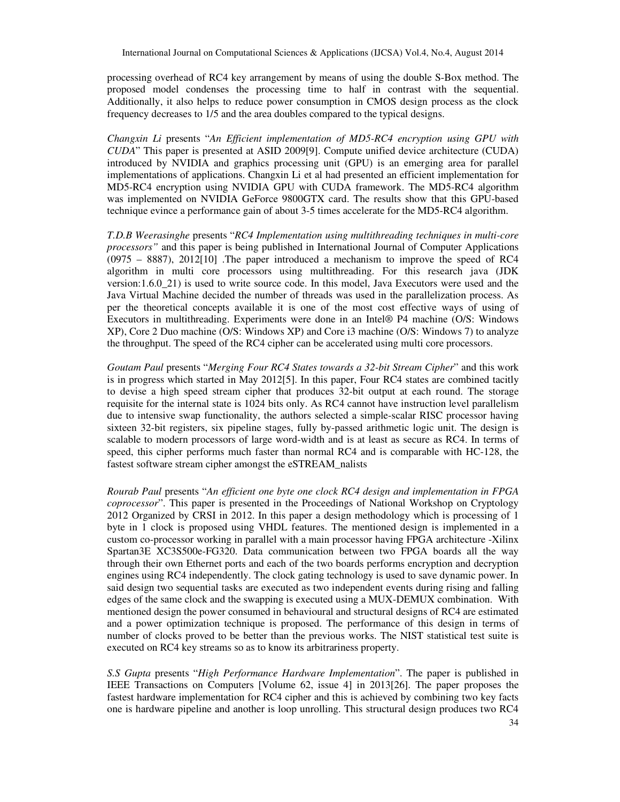processing overhead of RC4 key arrangement by means of using the double S-Box method. The proposed model condenses the processing time to half in contrast with the sequential. Additionally, it also helps to reduce power consumption in CMOS design process as the clock frequency decreases to 1/5 and the area doubles compared to the typical designs.

*Changxin Li* presents "*An Efficient implementation of MD5-RC4 encryption using GPU with CUDA*" This paper is presented at ASID 2009[9]. Compute unified device architecture (CUDA) introduced by NVIDIA and graphics processing unit (GPU) is an emerging area for parallel implementations of applications. Changxin Li et al had presented an efficient implementation for MD5-RC4 encryption using NVIDIA GPU with CUDA framework. The MD5-RC4 algorithm was implemented on NVIDIA GeForce 9800GTX card. The results show that this GPU-based technique evince a performance gain of about 3-5 times accelerate for the MD5-RC4 algorithm.

*T.D.B Weerasinghe* presents "*RC4 Implementation using multithreading techniques in multi-core processors"* and this paper is being published in International Journal of Computer Applications (0975 – 8887), 2012[10] .The paper introduced a mechanism to improve the speed of RC4 algorithm in multi core processors using multithreading. For this research java (JDK version:1.6.0\_21) is used to write source code. In this model, Java Executors were used and the Java Virtual Machine decided the number of threads was used in the parallelization process. As per the theoretical concepts available it is one of the most cost effective ways of using of Executors in multithreading. Experiments were done in an Intel® P4 machine (O/S: Windows XP), Core 2 Duo machine (O/S: Windows XP) and Core i3 machine (O/S: Windows 7) to analyze the throughput. The speed of the RC4 cipher can be accelerated using multi core processors.

*Goutam Paul* presents "*Merging Four RC4 States towards a 32-bit Stream Cipher*" and this work is in progress which started in May 2012[5]. In this paper, Four RC4 states are combined tacitly to devise a high speed stream cipher that produces 32-bit output at each round. The storage requisite for the internal state is 1024 bits only. As RC4 cannot have instruction level parallelism due to intensive swap functionality, the authors selected a simple-scalar RISC processor having sixteen 32-bit registers, six pipeline stages, fully by-passed arithmetic logic unit. The design is scalable to modern processors of large word-width and is at least as secure as RC4. In terms of speed, this cipher performs much faster than normal RC4 and is comparable with HC-128, the fastest software stream cipher amongst the eSTREAM\_nalists

*Rourab Paul* presents "*An efficient one byte one clock RC4 design and implementation in FPGA coprocessor*". This paper is presented in the Proceedings of National Workshop on Cryptology 2012 Organized by CRSI in 2012. In this paper a design methodology which is processing of 1 byte in 1 clock is proposed using VHDL features. The mentioned design is implemented in a custom co-processor working in parallel with a main processor having FPGA architecture -Xilinx Spartan3E XC3S500e-FG320. Data communication between two FPGA boards all the way through their own Ethernet ports and each of the two boards performs encryption and decryption engines using RC4 independently. The clock gating technology is used to save dynamic power. In said design two sequential tasks are executed as two independent events during rising and falling edges of the same clock and the swapping is executed using a MUX-DEMUX combination. With mentioned design the power consumed in behavioural and structural designs of RC4 are estimated and a power optimization technique is proposed. The performance of this design in terms of number of clocks proved to be better than the previous works. The NIST statistical test suite is executed on RC4 key streams so as to know its arbitrariness property.

*S.S Gupta* presents "*High Performance Hardware Implementation*". The paper is published in IEEE Transactions on Computers [Volume 62, issue 4] in 2013[26]. The paper proposes the fastest hardware implementation for RC4 cipher and this is achieved by combining two key facts one is hardware pipeline and another is loop unrolling. This structural design produces two RC4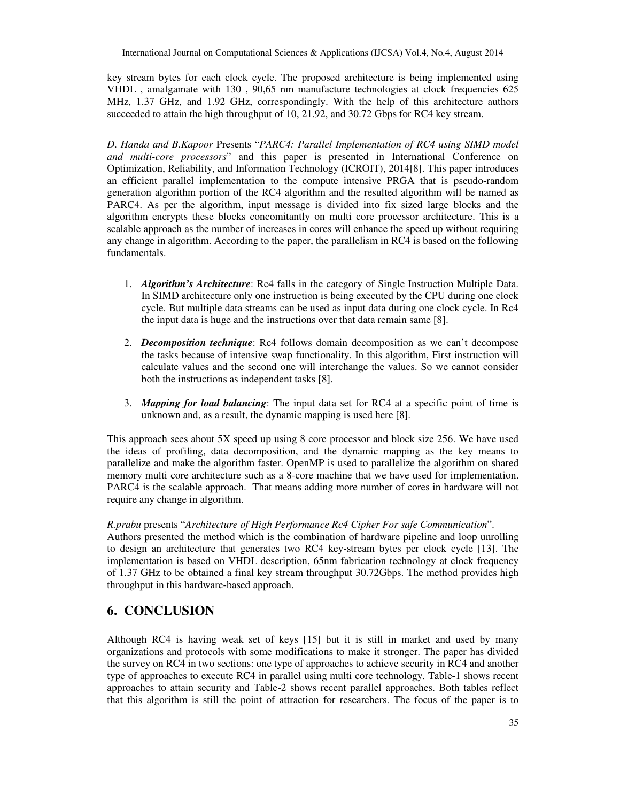key stream bytes for each clock cycle. The proposed architecture is being implemented using VHDL , amalgamate with 130 , 90,65 nm manufacture technologies at clock frequencies 625 MHz, 1.37 GHz, and 1.92 GHz, correspondingly. With the help of this architecture authors succeeded to attain the high throughput of 10, 21.92, and 30.72 Gbps for RC4 key stream.

*D. Handa and B.Kapoor* Presents "*PARC4: Parallel Implementation of RC4 using SIMD model and multi-core processors*" and this paper is presented in International Conference on Optimization, Reliability, and Information Technology (ICROIT), 2014[8]. This paper introduces an efficient parallel implementation to the compute intensive PRGA that is pseudo-random generation algorithm portion of the RC4 algorithm and the resulted algorithm will be named as PARC4. As per the algorithm, input message is divided into fix sized large blocks and the algorithm encrypts these blocks concomitantly on multi core processor architecture. This is a scalable approach as the number of increases in cores will enhance the speed up without requiring any change in algorithm. According to the paper, the parallelism in RC4 is based on the following fundamentals.

- 1. *Algorithm's Architecture*: Rc4 falls in the category of Single Instruction Multiple Data. In SIMD architecture only one instruction is being executed by the CPU during one clock cycle. But multiple data streams can be used as input data during one clock cycle. In Rc4 the input data is huge and the instructions over that data remain same [8].
- 2. *Decomposition technique*: Rc4 follows domain decomposition as we can't decompose the tasks because of intensive swap functionality. In this algorithm, First instruction will calculate values and the second one will interchange the values. So we cannot consider both the instructions as independent tasks [8].
- 3. *Mapping for load balancing*: The input data set for RC4 at a specific point of time is unknown and, as a result, the dynamic mapping is used here [8].

This approach sees about 5X speed up using 8 core processor and block size 256. We have used the ideas of profiling, data decomposition, and the dynamic mapping as the key means to parallelize and make the algorithm faster. OpenMP is used to parallelize the algorithm on shared memory multi core architecture such as a 8-core machine that we have used for implementation. PARC4 is the scalable approach. That means adding more number of cores in hardware will not require any change in algorithm.

#### *R.prabu* presents "*Architecture of High Performance Rc4 Cipher For safe Communication*".

Authors presented the method which is the combination of hardware pipeline and loop unrolling to design an architecture that generates two RC4 key-stream bytes per clock cycle [13]. The implementation is based on VHDL description, 65nm fabrication technology at clock frequency of 1.37 GHz to be obtained a final key stream throughput 30.72Gbps. The method provides high throughput in this hardware-based approach.

# **6. CONCLUSION**

Although RC4 is having weak set of keys [15] but it is still in market and used by many organizations and protocols with some modifications to make it stronger. The paper has divided the survey on RC4 in two sections: one type of approaches to achieve security in RC4 and another type of approaches to execute RC4 in parallel using multi core technology. Table-1 shows recent approaches to attain security and Table-2 shows recent parallel approaches. Both tables reflect that this algorithm is still the point of attraction for researchers. The focus of the paper is to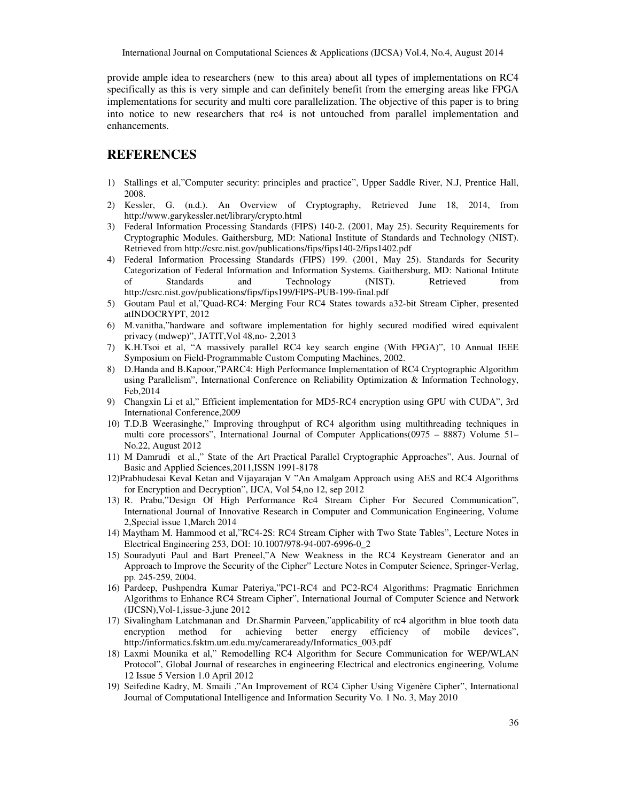International Journal on Computational Sciences & Applications (IJCSA) Vol.4, No.4, August 2014

provide ample idea to researchers (new to this area) about all types of implementations on RC4 specifically as this is very simple and can definitely benefit from the emerging areas like FPGA implementations for security and multi core parallelization. The objective of this paper is to bring into notice to new researchers that rc4 is not untouched from parallel implementation and enhancements.

## **REFERENCES**

- 1) Stallings et al,"Computer security: principles and practice", Upper Saddle River, N.J, Prentice Hall, 2008.
- 2) Kessler, G. (n.d.). An Overview of Cryptography, Retrieved June 18, 2014, from http://www.garykessler.net/library/crypto.html
- 3) Federal Information Processing Standards (FIPS) 140-2. (2001, May 25). Security Requirements for Cryptographic Modules. Gaithersburg, MD: National Institute of Standards and Technology (NIST). Retrieved from http://csrc.nist.gov/publications/fips/fips140-2/fips1402.pdf
- 4) Federal Information Processing Standards (FIPS) 199. (2001, May 25). Standards for Security Categorization of Federal Information and Information Systems. Gaithersburg, MD: National Intitute of Standards and Technology (NIST). Retrieved from http://csrc.nist.gov/publications/fips/fips199/FIPS-PUB-199-final.pdf
- 5) Goutam Paul et al,"Quad-RC4: Merging Four RC4 States towards a32-bit Stream Cipher, presented atINDOCRYPT, 2012
- 6) M.vanitha,"hardware and software implementation for highly secured modified wired equivalent privacy (mdwep)", JATIT,Vol 48,no- 2,2013
- 7) K.H.Tsoi et al, "A massively parallel RC4 key search engine (With FPGA)", 10 Annual IEEE Symposium on Field-Programmable Custom Computing Machines, 2002.
- 8) D.Handa and B.Kapoor,"PARC4: High Performance Implementation of RC4 Cryptographic Algorithm using Parallelism", International Conference on Reliability Optimization & Information Technology, Feb,2014
- 9) Changxin Li et al," Efficient implementation for MD5-RC4 encryption using GPU with CUDA", 3rd International Conference,2009
- 10) T.D.B Weerasinghe," Improving throughput of RC4 algorithm using multithreading techniques in multi core processors", International Journal of Computer Applications(0975 – 8887) Volume 51– No.22, August 2012
- 11) M Damrudi et al.," State of the Art Practical Parallel Cryptographic Approaches", Aus. Journal of Basic and Applied Sciences,2011,ISSN 1991-8178
- 12)Prabhudesai Keval Ketan and Vijayarajan V "An Amalgam Approach using AES and RC4 Algorithms for Encryption and Decryption", IJCA, Vol 54,no 12, sep 2012
- 13) R. Prabu,"Design Of High Performance Rc4 Stream Cipher For Secured Communication", International Journal of Innovative Research in Computer and Communication Engineering, Volume 2,Special issue 1,March 2014
- 14) Maytham M. Hammood et al,"RC4-2S: RC4 Stream Cipher with Two State Tables", Lecture Notes in Electrical Engineering 253, DOI: 10.1007/978-94-007-6996-0\_2
- 15) Souradyuti Paul and Bart Preneel,"A New Weakness in the RC4 Keystream Generator and an Approach to Improve the Security of the Cipher" Lecture Notes in Computer Science, Springer-Verlag, pp. 245-259, 2004.
- 16) Pardeep, Pushpendra Kumar Pateriya,"PC1-RC4 and PC2-RC4 Algorithms: Pragmatic Enrichmen Algorithms to Enhance RC4 Stream Cipher", International Journal of Computer Science and Network (IJCSN),Vol-1,issue-3,june 2012
- 17) Sivalingham Latchmanan and Dr.Sharmin Parveen,"applicability of rc4 algorithm in blue tooth data encryption method for achieving better energy efficiency of mobile devices", http://informatics.fsktm.um.edu.my/cameraready/Informatics\_003.pdf
- 18) Laxmi Mounika et al," Remodelling RC4 Algorithm for Secure Communication for WEP/WLAN Protocol", Global Journal of researches in engineering Electrical and electronics engineering, Volume 12 Issue 5 Version 1.0 April 2012
- 19) Seifedine Kadry, M. Smaili ,"An Improvement of RC4 Cipher Using Vigenère Cipher", International Journal of Computational Intelligence and Information Security Vo. 1 No. 3, May 2010